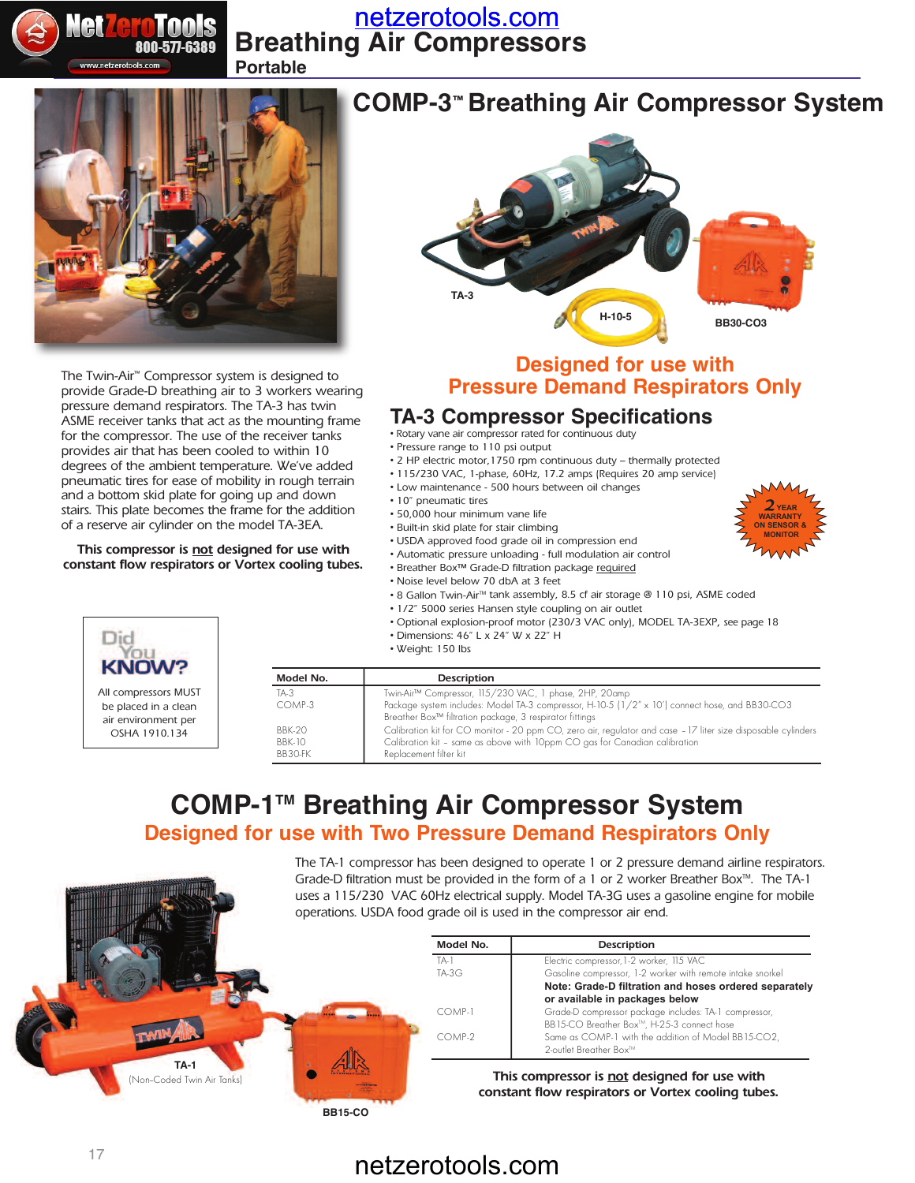

## **Breathing Air Compressors** [netzerotools.com](http://www.netzerotools.com)

**Portable**



The Twin-Air™ Compressor system is designed to provide Grade-D breathing air to 3 workers wearing pressure demand respirators. The TA-3 has twin ASME receiver tanks that act as the mounting frame for the compressor. The use of the receiver tanks provides air that has been cooled to within 10 degrees of the ambient temperature. We've added pneumatic tires for ease of mobility in rough terrain and a bottom skid plate for going up and down stairs. This plate becomes the frame for the addition of a reserve air cylinder on the model TA-3EA.

#### **This compressor is not designed for use with constant flow respirators or Vortex cooling tubes.**



All compressors MUST be placed in a clean air environment per OSHA 1910.134



### **Designed for use with Pressure Demand Respirators Only**

2*YEAR* **warranty on SenSor & Monitor**

### **TA-3 Compressor Specifications**

- Rotary vane air compressor rated for continuous duty
- Pressure range to 110 psi output
- 2 HP electric motor,1750 rpm continuous duty thermally protected
- 115/230 VAC, 1-phase, 60Hz, 17.2 amps (Requires 20 amp service)
- Low maintenance 500 hours between oil changes
- 10" pneumatic tires
- 50,000 hour minimum vane life
- Built-in skid plate for stair climbing
- USDA approved food grade oil in compression end
- Automatic pressure unloading full modulation air control
- Breather Box™ Grade-D filtration package required
- Noise level below 70 dbA at 3 feet
- 8 Gallon Twin-Air<sup>m</sup> tank assembly, 8.5 cf air storage @ 110 psi, ASME coded
- 1/2" 5000 series Hansen style coupling on air outlet
- Optional explosion-proof motor (230/3 VAC only), MODEL TA-3EXP, see page 18
- Dimensions: 46" L x 24" W x 22" H
- Weight: 150 lbs

| Model No.     | Description                                                                                                                                                           |
|---------------|-----------------------------------------------------------------------------------------------------------------------------------------------------------------------|
| $TA-3$        | Twin-Air™ Compressor, 115/230 VAC, 1 phase, 2HP, 20amp                                                                                                                |
| COMP-3        | Package system includes: Model TA-3 compressor, H-10-5 (1/2" x 10') connect hose, and BB30-CO3<br>Breather Box <sup>™</sup> filtration package, 3 respirator fittings |
| <b>BBK-20</b> | Calibration kit for CO monitor - 20 ppm CO, zero air, regulator and case - 17 liter size disposable cylinders                                                         |
| <b>BBK-10</b> | Calibration kit - same as above with 10ppm CO gas for Canadian calibration                                                                                            |
| BB30-FK       | Replacement filter kit                                                                                                                                                |

### **Designed for use with Two Pressure Demand Respirators Only COMP-1TM Breathing Air Compressor System**

The TA-1 compressor has been designed to operate 1 or 2 pressure demand airline respirators. Grade-D filtration must be provided in the form of a 1 or 2 worker Breather Box $M$ . The TA-1 uses a 115/230 VAC 60Hz electrical supply. Model TA-3G uses a gasoline engine for mobile operations. USDA food grade oil is used in the compressor air end.

|                                    | Model No. | Description                                                                                                                 |
|------------------------------------|-----------|-----------------------------------------------------------------------------------------------------------------------------|
|                                    | TA-       | Electric compressor, 1-2 worker, 115 VAC                                                                                    |
|                                    | $TA-3G$   | Gasoline compressor, 1-2 worker with remote intake snorkel                                                                  |
|                                    |           | Note: Grade-D filtration and hoses ordered separately<br>or available in packages below                                     |
|                                    | COMP-1    | Grade-D compressor package includes: TA-1 compressor,                                                                       |
|                                    | COMP-2    | BB15-CO Breather Box™, H-25-3 connect hose<br>Same as COMP-1 with the addition of Model BB15-CO2,<br>2-outlet Breather Box™ |
| TA-1<br>(Non-Coded Twin Air Tanks) |           | This compressor is not designed for use with<br>constant flow respirators or Vortex cooling tubes.                          |

**BB15-CO**

# netzerotools.com